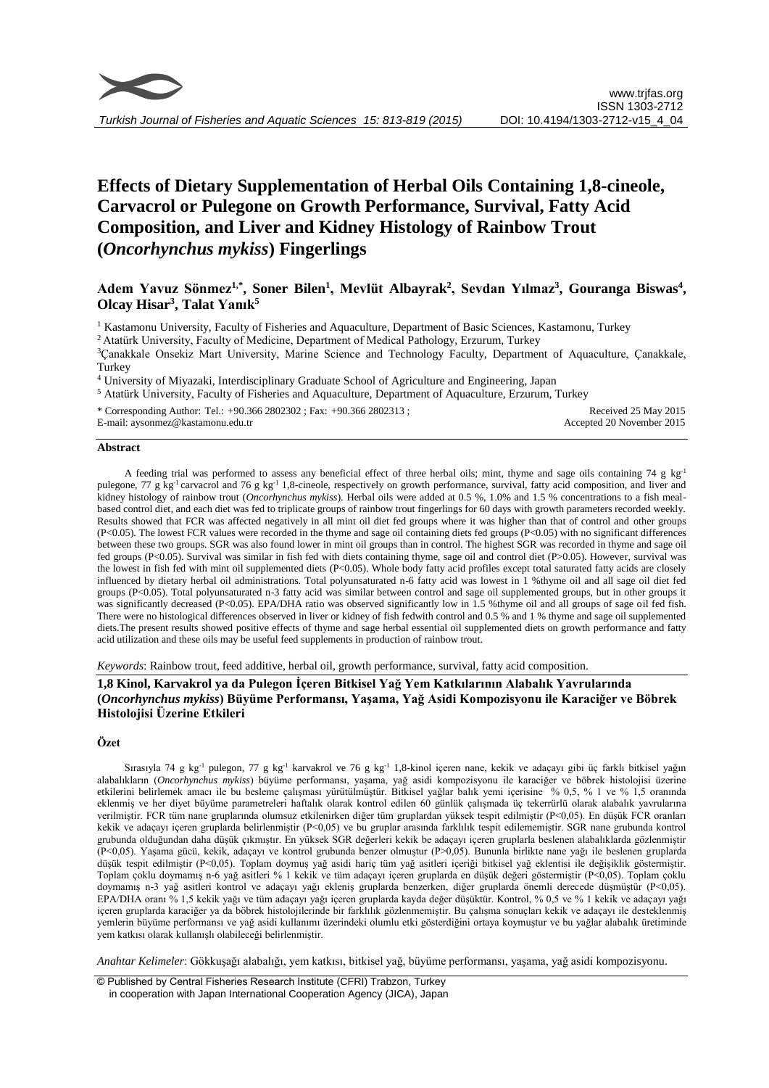

# **Effects of Dietary Supplementation of Herbal Oils Containing 1,8-cineole, Carvacrol or Pulegone on Growth Performance, Survival, Fatty Acid Composition, and Liver and Kidney Histology of Rainbow Trout (***Oncorhynchus mykiss***) Fingerlings**

## **Adem Yavuz Sönmez1,\*, Soner Bilen<sup>1</sup> , Mevlüt Albayrak<sup>2</sup> , Sevdan Yılmaz<sup>3</sup> , Gouranga Biswas<sup>4</sup> , Olcay Hisar<sup>3</sup> , Talat Yanık<sup>5</sup>**

<sup>1</sup> Kastamonu University, Faculty of Fisheries and Aquaculture, Department of Basic Sciences, Kastamonu, Turkey

<sup>2</sup> Atatürk University, Faculty of Medicine, Department of Medical Pathology, Erzurum, Turkey

<sup>3</sup>Çanakkale Onsekiz Mart University, Marine Science and Technology Faculty, Department of Aquaculture, Çanakkale, Turkey

<sup>4</sup> University of Miyazaki, Interdisciplinary Graduate School of Agriculture and Engineering, Japan

<sup>5</sup> Atatürk University, Faculty of Fisheries and Aquaculture, Department of Aquaculture, Erzurum, Turkey

\* Corresponding Author: Tel.: +90.366 2802302 ; Fax: +90.366 2802313 ;

Received 25 May 2015 Accepted 20 November 2015

#### **Abstract**

E-mail: aysonmez@kastamonu.edu.tr

A feeding trial was performed to assess any beneficial effect of three herbal oils; mint, thyme and sage oils containing 74 g kg-1 pulegone, 77 g kg<sup>-1</sup> carvacrol and 76 g kg<sup>-1</sup> 1,8-cineole, respectively on growth performance, survival, fatty acid composition, and liver and kidney histology of rainbow trout (*Oncorhynchus mykiss*). Herbal oils were added at 0.5 %, 1.0% and 1.5 % concentrations to a fish mealbased control diet, and each diet was fed to triplicate groups of rainbow trout fingerlings for 60 days with growth parameters recorded weekly. Results showed that FCR was affected negatively in all mint oil diet fed groups where it was higher than that of control and other groups (P<0.05). The lowest FCR values were recorded in the thyme and sage oil containing diets fed groups (P<0.05) with no significant differences between these two groups. SGR was also found lower in mint oil groups than in control. The highest SGR was recorded in thyme and sage oil fed groups (P<0.05). Survival was similar in fish fed with diets containing thyme, sage oil and control diet (P>0.05). However, survival was the lowest in fish fed with mint oil supplemented diets (P<0.05). Whole body fatty acid profiles except total saturated fatty acids are closely influenced by dietary herbal oil administrations. Total polyunsaturated n-6 fatty acid was lowest in 1 %thyme oil and all sage oil diet fed groups (P<0.05). Total polyunsaturated n-3 fatty acid was similar between control and sage oil supplemented groups, but in other groups it was significantly decreased (P<0.05). EPA/DHA ratio was observed significantly low in 1.5 %thyme oil and all groups of sage oil fed fish. There were no histological differences observed in liver or kidney of fish fedwith control and 0.5 % and 1 % thyme and sage oil supplemented diets.The present results showed positive effects of thyme and sage herbal essential oil supplemented diets on growth performance and fatty acid utilization and these oils may be useful feed supplements in production of rainbow trout.

*Keywords*: Rainbow trout, feed additive, herbal oil, growth performance, survival, fatty acid composition.

## **1,8 Kinol, Karvakrol ya da Pulegon İçeren Bitkisel Yağ Yem Katkılarının Alabalık Yavrularında (***Oncorhynchus mykiss***) Büyüme Performansı, Yaşama, Yağ Asidi Kompozisyonu ile Karaciğer ve Böbrek Histolojisi Üzerine Etkileri**

#### **Özet**

Sırasıyla 74 g kg-1 pulegon, 77 g kg-1 karvakrol ve 76 g kg-1 1,8-kinol içeren nane, kekik ve adaçayı gibi üç farklı bitkisel yağın alabalıkların (*Oncorhynchus mykiss*) büyüme performansı, yaşama, yağ asidi kompozisyonu ile karaciğer ve böbrek histolojisi üzerine etkilerini belirlemek amacı ile bu besleme çalışması yürütülmüştür. Bitkisel yağlar balık yemi içerisine % 0,5, % 1 ve % 1,5 oranında eklenmiş ve her diyet büyüme parametreleri haftalık olarak kontrol edilen 60 günlük çalışmada üç tekerrürlü olarak alabalık yavrularına verilmiştir. FCR tüm nane gruplarında olumsuz etkilenirken diğer tüm gruplardan yüksek tespit edilmiştir (P<0,05). En düşük FCR oranları kekik ve adaçayı içeren gruplarda belirlenmiştir (P<0,05) ve bu gruplar arasında farklılık tespit edilememiştir. SGR nane grubunda kontrol grubunda olduğundan daha düşük çıkmıştır. En yüksek SGR değerleri kekik be adaçayı içeren gruplarla beslenen alabalıklarda gözlenmiştir (P<0,05). Yaşama gücü, kekik, adaçayı ve kontrol grubunda benzer olmuştur (P>0,05). Bununla birlikte nane yağı ile beslenen gruplarda düşük tespit edilmiştir (P<0,05). Toplam doymuş yağ asidi hariç tüm yağ asitleri içeriği bitkisel yağ eklentisi ile değişiklik göstermiştir. Toplam çoklu doymamış n-6 yağ asitleri % 1 kekik ve tüm adaçayı içeren gruplarda en düşük değeri göstermiştir (P<0,05). Toplam çoklu doymamış n-3 yağ asitleri kontrol ve adaçayı yağı ekleniş gruplarda benzerken, diğer gruplarda önemli derecede düşmüştür (P<0,05). EPA/DHA oranı % 1,5 kekik yağı ve tüm adaçayı yağı içeren gruplarda kayda değer düşüktür. Kontrol, % 0,5 ve % 1 kekik ve adaçayı yağı içeren gruplarda karaciğer ya da böbrek histolojilerinde bir farklılık gözlenmemiştir. Bu çalışma sonuçları kekik ve adaçayı ile desteklenmiş yemlerin büyüme performansı ve yağ asidi kullanımı üzerindeki olumlu etki gösterdiğini ortaya koymuştur ve bu yağlar alabalık üretiminde yem katkısı olarak kullanışlı olabileceği belirlenmiştir.

*Anahtar Kelimeler*: Gökkuşağı alabalığı, yem katkısı, bitkisel yağ, büyüme performansı, yaşama, yağ asidi kompozisyonu.

<sup>©</sup> Published by Central Fisheries Research Institute (CFRI) Trabzon, Turkey in cooperation with Japan International Cooperation Agency (JICA), Japan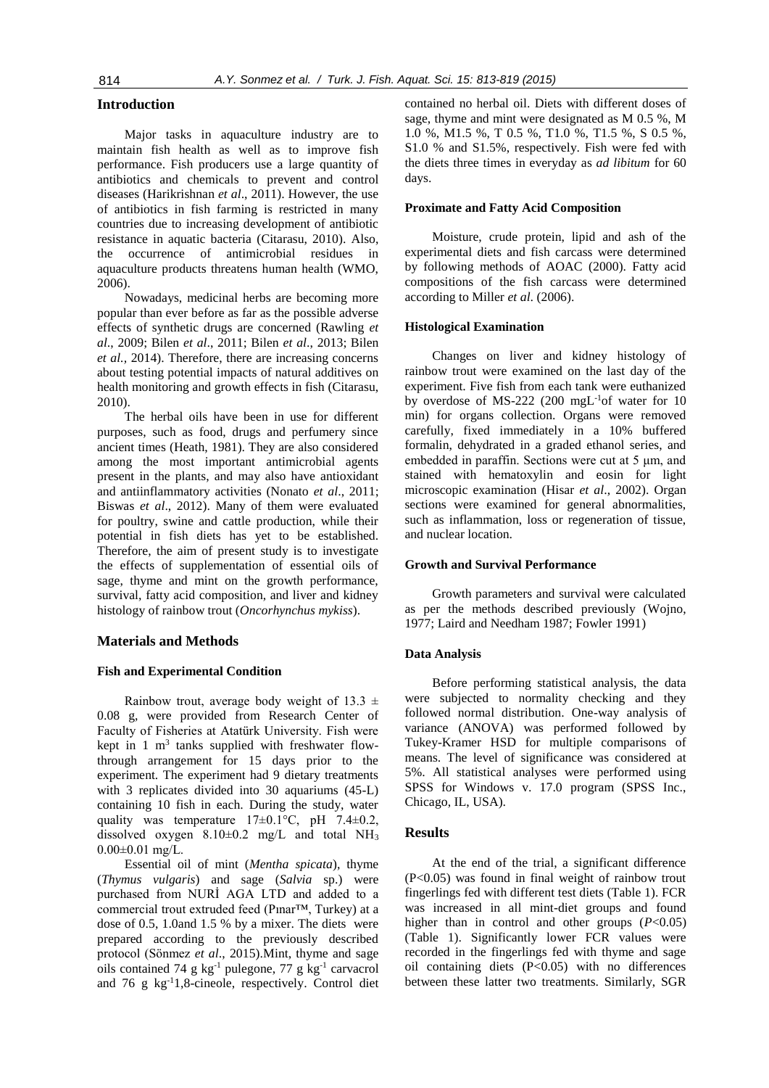## **Introduction**

Major tasks in aquaculture industry are to maintain fish health as well as to improve fish performance. Fish producers use a large quantity of antibiotics and chemicals to prevent and control diseases (Harikrishnan *et al*., 2011). However, the use of antibiotics in fish farming is restricted in many countries due to increasing development of antibiotic resistance in aquatic bacteria (Citarasu, 2010). Also, the occurrence of antimicrobial residues in aquaculture products threatens human health (WMO, 2006).

Nowadays, medicinal herbs are becoming more popular than ever before as far as the possible adverse effects of synthetic drugs are concerned (Rawling *et al*., 2009; Bilen *et al*., 2011; Bilen *et al*., 2013; Bilen *et al.,* 2014). Therefore, there are increasing concerns about testing potential impacts of natural additives on health monitoring and growth effects in fish (Citarasu, 2010).

The herbal oils have been in use for different purposes, such as food, drugs and perfumery since ancient times (Heath, 1981). They are also considered among the most important antimicrobial agents present in the plants, and may also have antioxidant and antiinflammatory activities (Nonato *et al*., 2011; Biswas *et al*., 2012). Many of them were evaluated for poultry, swine and cattle production, while their potential in fish diets has yet to be established. Therefore, the aim of present study is to investigate the effects of supplementation of essential oils of sage, thyme and mint on the growth performance, survival, fatty acid composition, and liver and kidney histology of rainbow trout (*Oncorhynchus mykiss*).

## **Materials and Methods**

#### **Fish and Experimental Condition**

Rainbow trout, average body weight of 13.3  $\pm$ 0.08 g, were provided from Research Center of Faculty of Fisheries at Atatürk University. Fish were kept in  $1 \text{ m}^3$  tanks supplied with freshwater flowthrough arrangement for 15 days prior to the experiment. The experiment had 9 dietary treatments with 3 replicates divided into 30 aquariums (45-L) containing 10 fish in each. During the study, water quality was temperature 17±0.1°C, pH 7.4±0.2, dissolved oxygen  $8.10\pm0.2$  mg/L and total NH<sub>3</sub> 0.00±0.01 mg/L.

Essential oil of mint (*Mentha spicata*), thyme (*Thymus vulgaris*) and sage (*Salvia* sp.) were purchased from NURİ AGA LTD and added to a commercial trout extruded feed (Pınar™, Turkey) at a dose of 0.5, 1.0and 1.5 % by a mixer. The diets were prepared according to the previously described protocol (Sönmez *et al*., 2015).Mint, thyme and sage oils contained 74 g  $kg^{-1}$  pulegone, 77 g  $kg^{-1}$  carvacrol and 76 g kg-11,8-cineole, respectively. Control diet

contained no herbal oil. Diets with different doses of sage, thyme and mint were designated as M 0.5 %, M 1.0 %, M1.5 %, T 0.5 %, T1.0 %, T1.5 %, S 0.5 %, S1.0 % and S1.5%, respectively. Fish were fed with the diets three times in everyday as *ad libitum* for 60 days.

## **Proximate and Fatty Acid Composition**

Moisture, crude protein, lipid and ash of the experimental diets and fish carcass were determined by following methods of AOAC (2000). Fatty acid compositions of the fish carcass were determined according to Miller *et al*. (2006).

#### **Histological Examination**

Changes on liver and kidney histology of rainbow trout were examined on the last day of the experiment. Five fish from each tank were euthanized by overdose of MS-222 (200 mgL-1of water for 10 min) for organs collection. Organs were removed carefully, fixed immediately in a 10% buffered formalin, dehydrated in a graded ethanol series, and embedded in paraffin. Sections were cut at 5 μm, and stained with hematoxylin and eosin for light microscopic examination (Hisar *et al*., 2002). Organ sections were examined for general abnormalities, such as inflammation, loss or regeneration of tissue, and nuclear location.

## **Growth and Survival Performance**

Growth parameters and survival were calculated as per the methods described previously (Wojno, 1977; Laird and Needham 1987; Fowler 1991)

## **Data Analysis**

Before performing statistical analysis, the data were subjected to normality checking and they followed normal distribution. One-way analysis of variance (ANOVA) was performed followed by Tukey-Kramer HSD for multiple comparisons of means. The level of significance was considered at 5%. All statistical analyses were performed using SPSS for Windows v. 17.0 program (SPSS Inc., Chicago, IL, USA).

### **Results**

At the end of the trial, a significant difference (P<0.05) was found in final weight of rainbow trout fingerlings fed with different test diets (Table 1). FCR was increased in all mint-diet groups and found higher than in control and other groups (*P*<0.05) (Table 1). Significantly lower FCR values were recorded in the fingerlings fed with thyme and sage oil containing diets (P<0.05) with no differences between these latter two treatments. Similarly, SGR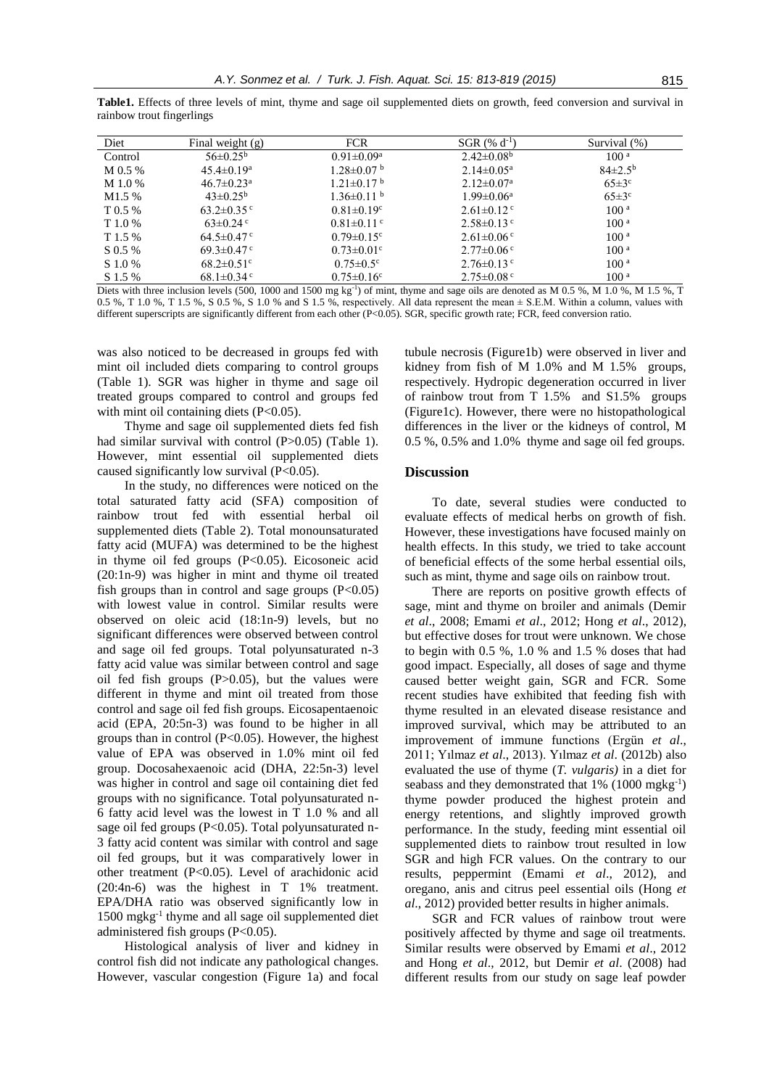| I<br>۰, |  |
|---------|--|
|         |  |

**Table1.** Effects of three levels of mint, thyme and sage oil supplemented diets on growth, feed conversion and survival in rainbow trout fingerlings

| Diet               | Final weight $(g)$           | <b>FCR</b>                   | $SGR$ (% d <sup>-1</sup> )   | Survival (%)            |
|--------------------|------------------------------|------------------------------|------------------------------|-------------------------|
| Control            | $56 \pm 0.25^{\rm b}$        | $0.91 \pm 0.09^{\rm a}$      | $2.42 \pm 0.08^b$            | 100 <sup>a</sup>        |
| M 0.5 %            | $45.4 \pm 0.19^a$            | $1.28 \pm 0.07$ b            | $2.14 \pm 0.05^{\text{a}}$   | $84\pm2.5^{b}$          |
| M 1.0 %            | $46.7 \pm 0.23$ <sup>a</sup> | $1.21 \pm 0.17$ b            | $2.12 \pm 0.07$ <sup>a</sup> | $65 \pm 3$ <sup>c</sup> |
| M <sub>1.5</sub> % | $43\pm0.25^{\rm b}$          | $1.36 \pm 0.11$ b            | $1.99 \pm 0.06^a$            | $65 \pm 3$ <sup>c</sup> |
| T 0.5 %            | $63.2 \pm 0.35$ c            | $0.81 \pm 0.19$ <sup>c</sup> | $2.61 \pm 0.12$ <sup>c</sup> | 100 <sup>a</sup>        |
| T 1.0 %            | $63 \pm 0.24$ c              | $0.81 \pm 0.11$ c            | $2.58 \pm 0.13$ c            | 100 <sup>a</sup>        |
| T 1.5 %            | $64.5 \pm 0.47$ c            | $0.79 \pm 0.15$ <sup>c</sup> | $2.61 \pm 0.06$ <sup>c</sup> | 100 <sup>a</sup>        |
| S 0.5 %            | $69.3 \pm 0.47$              | $0.73 \pm 0.01$ °            | $2.77 \pm 0.06$ c            | 100 <sup>a</sup>        |
| S 1.0 %            | $68.2 \pm 0.51$ °            | $0.75 \pm 0.5$ <sup>c</sup>  | $2.76 \pm 0.13$ c            | 100 <sup>a</sup>        |
| S 1.5 %            | $68.1 \pm 0.34$ c            | $0.75 \pm 0.16$ <sup>c</sup> | $2.75 \pm 0.08$ c            | 100 <sup>a</sup>        |

Diets with three inclusion levels (500, 1000 and 1500 mg  $kg^{-1}$ ) of mint, thyme and sage oils are denoted as M 0.5 %, M 1.0 %, M 1.5 %, T 0.5 %, T 1.0 %, T 1.5 %, S 0.5 %, S 1.0 % and S 1.5 %, respectively. All data represent the mean ± S.E.M. Within a column, values with different superscripts are significantly different from each other (P<0.05). SGR, specific growth rate; FCR, feed conversion ratio.

was also noticed to be decreased in groups fed with mint oil included diets comparing to control groups (Table 1). SGR was higher in thyme and sage oil treated groups compared to control and groups fed with mint oil containing diets (P<0.05).

Thyme and sage oil supplemented diets fed fish had similar survival with control (P>0.05) (Table 1). However, mint essential oil supplemented diets caused significantly low survival (P<0.05).

In the study, no differences were noticed on the total saturated fatty acid (SFA) composition of rainbow trout fed with essential herbal oil supplemented diets (Table 2). Total monounsaturated fatty acid (MUFA) was determined to be the highest in thyme oil fed groups (P<0.05). Eicosoneic acid (20:1n-9) was higher in mint and thyme oil treated fish groups than in control and sage groups  $(P<0.05)$ with lowest value in control. Similar results were observed on oleic acid (18:1n-9) levels, but no significant differences were observed between control and sage oil fed groups. Total polyunsaturated n-3 fatty acid value was similar between control and sage oil fed fish groups  $(P>0.05)$ , but the values were different in thyme and mint oil treated from those control and sage oil fed fish groups. Eicosapentaenoic acid (EPA, 20:5n-3) was found to be higher in all groups than in control (P<0.05). However, the highest value of EPA was observed in 1.0% mint oil fed group. Docosahexaenoic acid (DHA, 22:5n-3) level was higher in control and sage oil containing diet fed groups with no significance. Total polyunsaturated n-6 fatty acid level was the lowest in T 1.0 % and all sage oil fed groups (P<0.05). Total polyunsaturated n-3 fatty acid content was similar with control and sage oil fed groups, but it was comparatively lower in other treatment (P<0.05). Level of arachidonic acid (20:4n-6) was the highest in T 1% treatment. EPA/DHA ratio was observed significantly low in 1500 mgkg-1 thyme and all sage oil supplemented diet administered fish groups (P<0.05).

Histological analysis of liver and kidney in control fish did not indicate any pathological changes. However, vascular congestion (Figure 1a) and focal

tubule necrosis (Figure1b) were observed in liver and kidney from fish of M 1.0% and M 1.5% groups, respectively. Hydropic degeneration occurred in liver of rainbow trout from T 1.5% and S1.5% groups (Figure1c). However, there were no histopathological differences in the liver or the kidneys of control, M 0.5 %, 0.5% and 1.0% thyme and sage oil fed groups.

## **Discussion**

To date, several studies were conducted to evaluate effects of medical herbs on growth of fish. However, these investigations have focused mainly on health effects. In this study, we tried to take account of beneficial effects of the some herbal essential oils, such as mint, thyme and sage oils on rainbow trout.

There are reports on positive growth effects of sage, mint and thyme on broiler and animals (Demir *et al*., 2008; Emami *et al*., 2012; Hong *et al*., 2012), but effective doses for trout were unknown. We chose to begin with 0.5 %, 1.0 % and 1.5 % doses that had good impact. Especially, all doses of sage and thyme caused better weight gain, SGR and FCR. Some recent studies have exhibited that feeding fish with thyme resulted in an elevated disease resistance and improved survival, which may be attributed to an improvement of immune functions (Ergün *et al*., 2011; Yılmaz *et al*., 2013). Yılmaz *et al*. (2012b) also evaluated the use of thyme (*T. vulgaris)* in a diet for seabass and they demonstrated that 1% (1000 mgkg<sup>-1</sup>) thyme powder produced the highest protein and energy retentions, and slightly improved growth performance. In the study, feeding mint essential oil supplemented diets to rainbow trout resulted in low SGR and high FCR values. On the contrary to our results, peppermint (Emami *et al*., 2012), and oregano, anis and citrus peel essential oils (Hong *et al*., 2012) provided better results in higher animals.

SGR and FCR values of rainbow trout were positively affected by thyme and sage oil treatments. Similar results were observed by Emami *et al*., 2012 and Hong *et al*., 2012, but Demir *et al*. (2008) had different results from our study on sage leaf powder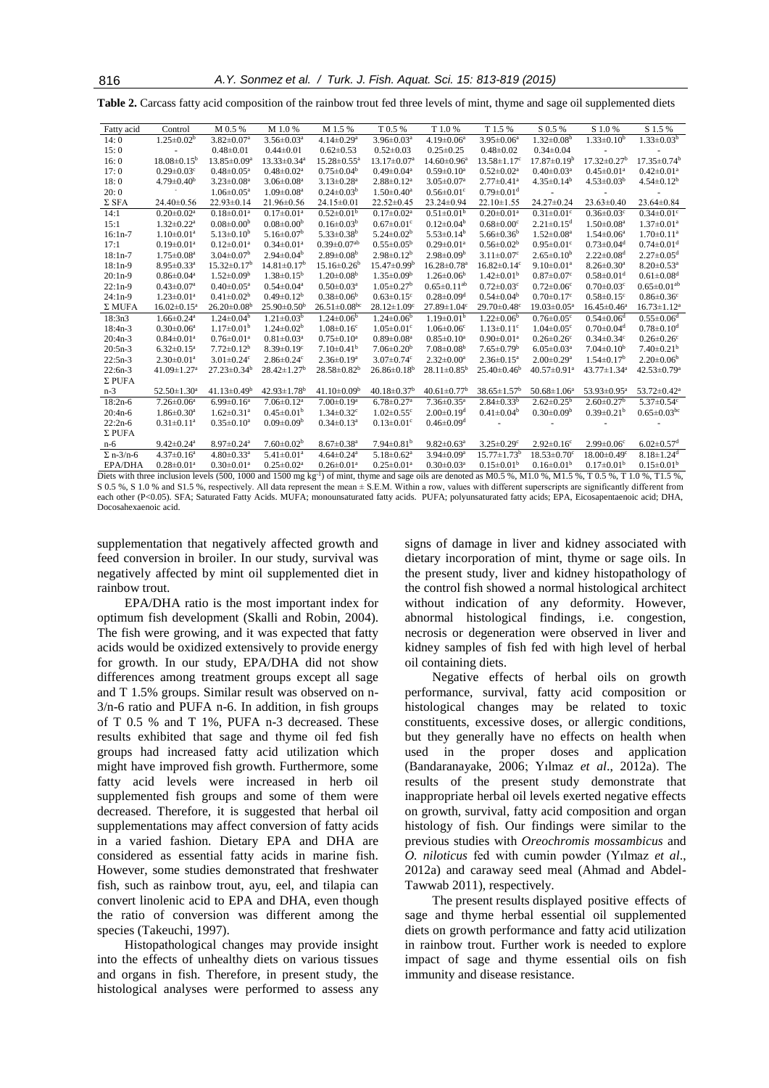| Fatty acid       | Control                       | M 0.5 %                      | M 1.0%                        | M 1.5 %                       | T 0.5 %                       | T 1.0 %                       | T 1.5 %                       | S 0.5 %                       | S 1.0 %                       | S 1.5 %                       |
|------------------|-------------------------------|------------------------------|-------------------------------|-------------------------------|-------------------------------|-------------------------------|-------------------------------|-------------------------------|-------------------------------|-------------------------------|
| 14:0             | $1.25 \pm 0.02^b$             | $3.82 \pm 0.07$ <sup>a</sup> | $3.56 \pm 0.03^a$             | $4.14 \pm 0.29$ <sup>a</sup>  | $3.96 \pm 0.03^a$             | $4.19 \pm 0.06^a$             | $3.95 \pm 0.06^a$             | $1.32 \pm 0.08^b$             | $1.33 \pm 0.10^b$             | $1.33 \pm 0.03^b$             |
| 15:0             |                               | $0.48 \pm 0.01$              | $0.44 \pm 0.01$               | $0.62 \pm 0.53$               | $0.52 \pm 0.03$               | $0.25 \pm 0.25$               | $0.48 \pm 0.02$               | $0.34 \pm 0.04$               |                               |                               |
| 16:0             | $18.08 \pm 0.15^{\rm b}$      | $13.85 \pm 0.09^a$           | $13.33 \pm 0.34$ <sup>a</sup> | $15.28 \pm 0.55^a$            | $13.17 \pm 0.07^a$            | $14.60 \pm 0.96^{\mathrm{a}}$ | $13.58 \pm 1.17$ <sup>c</sup> | $17.87 \pm 0.19^b$            | $17.32 \pm 0.27$ <sup>b</sup> | $17.35 \pm 0.74$ <sup>b</sup> |
| 17:0             | $0.29 \pm 0.03$ <sup>c</sup>  | $0.48 \pm 0.05^{\text{a}}$   | $0.48 \pm 0.02^a$             | $0.75 \pm 0.04^b$             | $0.49 \pm 0.04$ <sup>a</sup>  | $0.59 \pm 0.10^a$             | $0.52 \pm 0.02^a$             | $0.40 \pm 0.03$ <sup>a</sup>  | $0.45 \pm 0.01^a$             | $0.42 \pm 0.01$ <sup>a</sup>  |
| 18:0             | $4.79 \pm 0.40^b$             | $3.23 \pm 0.08^a$            | $3.06 \pm 0.08$ <sup>a</sup>  | $3.13 \pm 0.28$ <sup>a</sup>  | $2.88 \pm 0.12^a$             | $3.05 \pm 0.07$ <sup>a</sup>  | $2.77 \pm 0.41$ <sup>a</sup>  | $4.35 \pm 0.14^b$             | $4.53 \pm 0.03^b$             | $4.54 \pm 0.12^b$             |
| 20:0             |                               | $1.06 \pm 0.05^{\text{a}}$   | $1.09 \pm 0.08^a$             | $0.24 \pm 0.03^b$             | $1.50 \pm 0.40^a$             | $0.56 \pm 0.01$ <sup>c</sup>  | $0.79 \pm 0.01$ <sup>d</sup>  |                               |                               |                               |
| $\Sigma$ SFA     | $24.40 \pm 0.56$              | $22.93 \pm 0.14$             | $21.96 \pm 0.56$              | $24.15 \pm 0.01$              | $22.52 \pm 0.45$              | $23.24 \pm 0.94$              | $22.10 \pm 1.55$              | 24.27±0.24                    | $23.63 \pm 0.40$              | $23.64 \pm 0.84$              |
| 14:1             | $0.20 \pm 0.02^a$             | $0.18 \pm 0.01$ <sup>a</sup> | $0.17 \pm 0.01^a$             | $0.52 \pm 0.01$ <sup>b</sup>  | $0.17 \pm 0.02^a$             | $0.51 \pm 0.01$ <sup>b</sup>  | $0.20 \pm 0.01$ <sup>a</sup>  | $0.31 \pm 0.01$ <sup>c</sup>  | $0.36 \pm 0.03$ <sup>c</sup>  | $0.34 \pm 0.01$ <sup>c</sup>  |
| 15:1             | $1.32 \pm 0.22$ <sup>a</sup>  | $0.08 \pm 0.00^b$            | $0.08 \pm 0.00^b$             | $0.16 \pm 0.03^b$             | $0.67 \pm 0.01$ <sup>c</sup>  | $0.12 \pm 0.04^b$             | $0.68 \pm 0.00$ <sup>c</sup>  | $2.21 \pm 0.15$ <sup>d</sup>  | $1.50 \pm 0.08^a$             | $1.37 \pm 0.01^a$             |
| $16:1n-7$        | $1.10 \pm 0.01$ <sup>a</sup>  | $5.13 \pm 0.10^b$            | $5.16 \pm 0.07$ <sup>b</sup>  | $5.33 \pm 0.38^b$             | $5.24 \pm 0.02^b$             | $5.53 \pm 0.14^b$             | $5.66 \pm 0.36$ <sup>b</sup>  | $1.52 \pm 0.08^a$             | $1.54 \pm 0.06^a$             | $1.70 \pm 0.11$ <sup>a</sup>  |
| 17:1             | $0.19 \pm 0.01^a$             | $0.12 \pm 0.01^a$            | $0.34 \pm 0.01$ <sup>a</sup>  | $0.39 \pm 0.07$ <sup>ab</sup> | $0.55 \pm 0.05^{\rm b}$       | $0.29 \pm 0.01^a$             | $0.56 \pm 0.02^b$             | $0.95 \pm 0.01$ <sup>c</sup>  | $0.73 \pm 0.04$ <sup>d</sup>  | $0.74 \pm 0.01$ <sup>d</sup>  |
| $18:1n-7$        | $1.75 \pm 0.08^a$             | $3.04 \pm 0.07^b$            | $2.94 \pm 0.04^b$             | $2.89 \pm 0.08^b$             | $2.98 \pm 0.12^b$             | $2.98 \pm 0.09^b$             | $3.11 \pm 0.07$ <sup>c</sup>  | $2.65 \pm 0.10^b$             | $2.22 \pm 0.08$ <sup>d</sup>  | $2.27 \pm 0.05$ <sup>d</sup>  |
| $18:1n-9$        | $8.95 \pm 0.33$ <sup>a</sup>  | $15.32 \pm 0.17^b$           | $14.81 \pm 0.17$ <sup>b</sup> | $15.16 \pm 0.26$ <sup>b</sup> | $15.47 \pm 0.99^b$            | $16.28 \pm 0.78$ <sup>a</sup> | $16.82 \pm 0.14$ <sup>c</sup> | $9.10 \pm 0.01$ <sup>a</sup>  | $8.26 \pm 0.30$ <sup>a</sup>  | $8.20 \pm 0.53$ <sup>a</sup>  |
| $20:1n-9$        | $0.86 \pm 0.04$ <sup>a</sup>  | $1.52 \pm 0.09^b$            | $1.38 \pm 0.15^b$             | $1.20 \pm 0.08$ <sup>b</sup>  | $1.35 \pm 0.09^b$             | $1.26 \pm 0.06^b$             | $1.42 \pm 0.01$ <sup>b</sup>  | $0.87 \pm 0.07$ <sup>c</sup>  | $0.58 \pm 0.01$ <sup>d</sup>  | $0.61 \pm 0.08$ <sup>d</sup>  |
| $22:1n-9$        | $0.43 \pm 0.07^a$             | $0.40 \pm 0.05^{\text{a}}$   | $0.54 \pm 0.04$ <sup>a</sup>  | $0.50 \pm 0.03^a$             | $1.05 \pm 0.27$ <sup>b</sup>  | $0.65 \pm 0.11^{ab}$          | $0.72 \pm 0.03$ <sup>c</sup>  | $0.72 \pm 0.06$ <sup>c</sup>  | $0.70 \pm 0.03$ <sup>c</sup>  | $0.65 \pm 0.01^{ab}$          |
| $24:1n-9$        | $1.23 \pm 0.01^a$             | $0.41 \pm 0.02^b$            | $0.49 \pm 0.12^b$             | $0.38 \pm 0.06^b$             | $0.63 \pm 0.15$ <sup>c</sup>  | $0.28 \pm 0.09$ <sup>d</sup>  | $0.54 \pm 0.04^b$             | $0.70 \pm 0.17$ °             | $0.58 \pm 0.15$ <sup>c</sup>  | $0.86 \pm 0.36$ <sup>c</sup>  |
| $\Sigma$ MUFA    | $16.02 \pm 0.15^a$            | $26.20 \pm 0.08^b$           | $25.90 \pm 0.50^{\circ}$      | $26.51 \pm 0.08$ bc           | $28.12 \pm 1.09$ <sup>c</sup> | $27.89 \pm 1.04$ <sup>c</sup> | $29.70 \pm 0.48$ <sup>c</sup> | $19.03 \pm 0.05^a$            | $16.45 \pm 0.46^a$            | $16.73 \pm 1.12^a$            |
| 18:3n3           | $1.66 \pm 0.24$ <sup>a</sup>  | $1.24 \pm 0.04^b$            | $1.21 \pm 0.03^b$             | $1.24 \pm 0.06^b$             | $1.24 \pm 0.06^b$             | $1.19 \pm 0.01$ <sup>b</sup>  | $1.22 \pm 0.06^b$             | $0.76 \pm 0.05$ <sup>c</sup>  | $0.54 \pm 0.06$ <sup>d</sup>  | $0.55 \pm 0.06$ <sup>d</sup>  |
| $18:4n-3$        | $0.30 \pm 0.06^a$             | $1.17 \pm 0.01^{\mathrm{b}}$ | $1.24 \pm 0.02^b$             | $1.08 \pm 0.16$ <sup>c</sup>  | $1.05 \pm 0.01$ <sup>c</sup>  | $1.06 \pm 0.06$ <sup>c</sup>  | $1.13 \pm 0.11$ <sup>c</sup>  | $1.04 \pm 0.05$ <sup>c</sup>  | $0.70 \pm 0.04$ <sup>d</sup>  | $0.78 \pm 0.10^d$             |
| $20:4n-3$        | $0.84 \pm 0.01$ <sup>a</sup>  | $0.76 \pm 0.01$ <sup>a</sup> | $0.81 \pm 0.03$ <sup>a</sup>  | $0.75 \pm 0.10^a$             | $0.89 \pm 0.08$ <sup>a</sup>  | $0.85 \pm 0.10^a$             | $0.90 \pm 0.01$ <sup>a</sup>  | $0.26 \pm 0.26$ <sup>c</sup>  | $0.34 \pm 0.34$ c             | $0.26 \pm 0.26$ <sup>c</sup>  |
| $20:5n-3$        | $6.32 \pm 0.15^a$             | $7.72 \pm 0.12^b$            | $8.39 \pm 0.19$ <sup>c</sup>  | $7.10\pm0.41^b$               | $7.06 \pm 0.20^b$             | $7.08 \pm 0.08^b$             | $7.65 \pm 0.79^b$             | $6.05 \pm 0.03$ <sup>a</sup>  | $7.04 \pm 0.10^b$             | $7.40 \pm 0.21$ <sup>b</sup>  |
| $22:5n-3$        | $2.30 \pm 0.01$ <sup>a</sup>  | $3.01 \pm 0.24$ c            | $2.86 \pm 0.24$ c             | $2.36 \pm 0.19^a$             | $3.07 \pm 0.74$ c             | $2.32 \pm 0.00^a$             | $2.36 \pm 0.15^a$             | $2.00 \pm 0.29$ <sup>a</sup>  | $1.54 \pm 0.17$ <sup>b</sup>  | $2.20 \pm 0.06^b$             |
| $22:6n-3$        | $41.09 \pm 1.27$ <sup>a</sup> | $27.23 \pm 0.34^b$           | $28.42 \pm 1.27$ <sup>b</sup> | $28.58 \pm 0.82^b$            | $26.86 \pm 0.18^b$            | $28.11 \pm 0.85^b$            | $25.40\pm0.46^b$              | $40.57 \pm 0.91$ <sup>a</sup> | $43.77 \pm 1.34$ <sup>a</sup> | $42.53 \pm 0.79$ <sup>a</sup> |
| $\Sigma$ PUFA    |                               |                              |                               |                               |                               |                               |                               |                               |                               |                               |
| $n-3$            | $52.50 \pm 1.30^a$            | $41.13 \pm 0.49^b$           | $42.93 \pm 1.78$ <sup>b</sup> | $41.10 \pm 0.09^{\rm b}$      | $40.18 \pm 0.37$ <sup>b</sup> | $40.61 \pm 0.77$ <sup>b</sup> | $38.65 \pm 1.57$ <sup>b</sup> | $50.68 \pm 1.06^a$            | $53.93 \pm 0.95^a$            | $53.72 \pm 0.42^a$            |
| $18:2n-6$        | $7.26 \pm 0.06^a$             | $6.99 \pm 0.16^a$            | $7.06 \pm 0.12$ <sup>a</sup>  | $7.00 \pm 0.19^a$             | $6.78 \pm 0.27$ <sup>a</sup>  | $7.36 \pm 0.35$ <sup>a</sup>  | $2.84 \pm 0.33^b$             | $2.62 \pm 0.25^b$             | $2.60 \pm 0.27$ <sup>b</sup>  | $5.37 \pm 0.54$ <sup>c</sup>  |
| $20:4n-6$        | $1.86 \pm 0.30^a$             | $1.62 \pm 0.31$ <sup>a</sup> | $0.45 \pm 0.01^b$             | $1.34 \pm 0.32$ <sup>c</sup>  | $1.02 \pm 0.55$ <sup>c</sup>  | $2.00 \pm 0.19$ <sup>d</sup>  | $0.41 \pm 0.04^b$             | $0.30 \pm 0.09^b$             | $0.39 \pm 0.21$ <sup>b</sup>  | $0.65 \pm 0.03$ bc            |
| $22:2n-6$        | $0.31 \pm 0.11$ <sup>a</sup>  | $0.35 \pm 0.10^a$            | $0.09 \pm 0.09^b$             | $0.34 \pm 0.13^a$             | $0.13 \pm 0.01$ <sup>c</sup>  | $0.46 \pm 0.09$ <sup>d</sup>  |                               |                               |                               |                               |
| $\Sigma$ PUFA    |                               |                              |                               |                               |                               |                               |                               |                               |                               |                               |
| $n-6$            | $9.42 \pm 0.24$ <sup>a</sup>  | $8.97 \pm 0.24$ <sup>a</sup> | $7.60 \pm 0.02^b$             | $8.67 \pm 0.38$ <sup>a</sup>  | $7.94 \pm 0.81$ <sup>b</sup>  | $9.82 \pm 0.63$ <sup>a</sup>  | $3.25 \pm 0.29$ <sup>c</sup>  | $2.92 \pm 0.16$ <sup>c</sup>  | $2.99 \pm 0.06$ <sup>c</sup>  | $6.02 \pm 0.57$ <sup>d</sup>  |
| $\Sigma$ n-3/n-6 | $4.37 \pm 0.16^a$             | $4.80 \pm 0.33$ <sup>a</sup> | $5.41 \pm 0.01$ <sup>a</sup>  | $4.64 \pm 0.24$ <sup>a</sup>  | $5.18 \pm 0.62$ <sup>a</sup>  | $3.94 \pm 0.09^a$             | $15.77 \pm 1.73$ <sup>b</sup> | $18.53 \pm 0.70$ <sup>c</sup> | $18.00 \pm 0.49$ <sup>c</sup> | $8.18 \pm 1.24$ <sup>d</sup>  |
| <b>EPA/DHA</b>   | $0.28 \pm 0.01^a$             | $0.30 \pm 0.01$ <sup>a</sup> | $0.25 \pm 0.02^a$             | $0.26 \pm 0.01^a$             | $0.25 \pm 0.01^a$             | $0.30 \pm 0.03^a$             | $0.15 \pm 0.01^b$             | $0.16 \pm 0.01^b$             | $0.17 \pm 0.01^b$             | $0.15 \pm 0.01^b$             |
|                  |                               |                              |                               | $\mathbf{1}$                  |                               |                               |                               |                               |                               |                               |

Table 2. Carcass fatty acid composition of the rainbow trout fed three levels of mint, thyme and sage oil supplemented diets

Diets with three inclusion levels (500, 1000 and 1500 mg kg<sup>-1</sup>) of mint, thyme and sage oils are denoted as M0.5 %, M1.0 %, M1.5 %, T 0.5 %, T 1.0 %, T1.5 %, S 0.5 %, S 1.0 % and S1.5 %, respectively. All data represent the mean ± S.E.M. Within a row, values with different superscripts are significantly different from each other (P<0.05). SFA; Saturated Fatty Acids. MUFA; monounsaturated fatty acids. PUFA; polyunsaturated fatty acids; EPA, Eicosapentaenoic acid; DHA, Docosahexaenoic acid.

supplementation that negatively affected growth and feed conversion in broiler. In our study, survival was negatively affected by mint oil supplemented diet in rainbow trout.

EPA/DHA ratio is the most important index for optimum fish development (Skalli and Robin, 2004). The fish were growing, and it was expected that fatty acids would be oxidized extensively to provide energy for growth. In our study, EPA/DHA did not show differences among treatment groups except all sage and T 1.5% groups. Similar result was observed on n-3/n-6 ratio and PUFA n-6. In addition, in fish groups of T 0.5 % and T 1%, PUFA n-3 decreased. These results exhibited that sage and thyme oil fed fish groups had increased fatty acid utilization which might have improved fish growth. Furthermore, some fatty acid levels were increased in herb oil supplemented fish groups and some of them were decreased. Therefore, it is suggested that herbal oil supplementations may affect conversion of fatty acids in a varied fashion. Dietary EPA and DHA are considered as essential fatty acids in marine fish. However, some studies demonstrated that freshwater fish, such as rainbow trout, ayu, eel, and tilapia can convert linolenic acid to EPA and DHA, even though the ratio of conversion was different among the species (Takeuchi, 1997).

Histopathological changes may provide insight into the effects of unhealthy diets on various tissues and organs in fish. Therefore, in present study, the histological analyses were performed to assess any signs of damage in liver and kidney associated with dietary incorporation of mint, thyme or sage oils. In the present study, liver and kidney histopathology of the control fish showed a normal histological architect without indication of any deformity. However, abnormal histological findings, i.e. congestion, necrosis or degeneration were observed in liver and kidney samples of fish fed with high level of herbal oil containing diets.

Negative effects of herbal oils on growth performance, survival, fatty acid composition or histological changes may be related to toxic constituents, excessive doses, or allergic conditions, but they generally have no effects on health when used in the proper doses and application (Bandaranayake, 2006; Yılmaz *et al*., 2012a). The results of the present study demonstrate that inappropriate herbal oil levels exerted negative effects on growth, survival, fatty acid composition and organ histology of fish. Our findings were similar to the previous studies with *Oreochromis mossambicus* and *O. niloticus* fed with cumin powder (Yılmaz *et al*., 2012a) and caraway seed meal (Ahmad and Abdel-Tawwab 2011), respectively.

The present results displayed positive effects of sage and thyme herbal essential oil supplemented diets on growth performance and fatty acid utilization in rainbow trout. Further work is needed to explore impact of sage and thyme essential oils on fish immunity and disease resistance.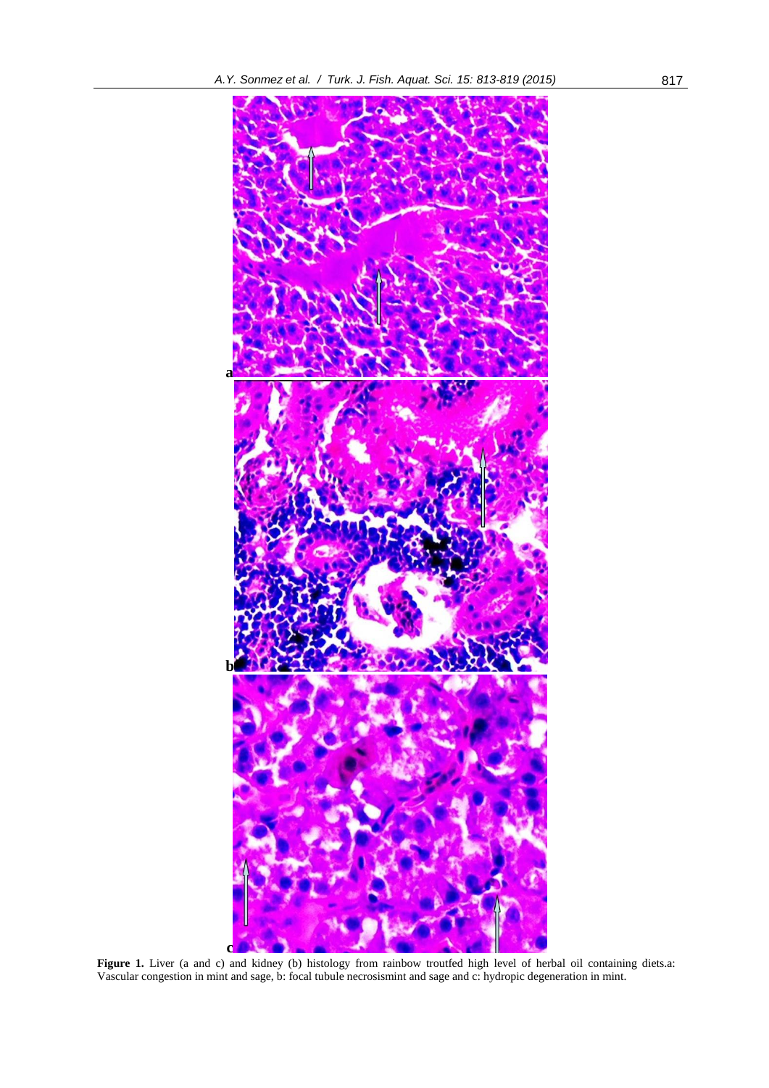

Figure 1. Liver (a and c) and kidney (b) histology from rainbow troutfed high level of herbal oil containing diets.a: Vascular congestion in mint and sage, b: focal tubule necrosismint and sage and c: hydropic degeneration in mint.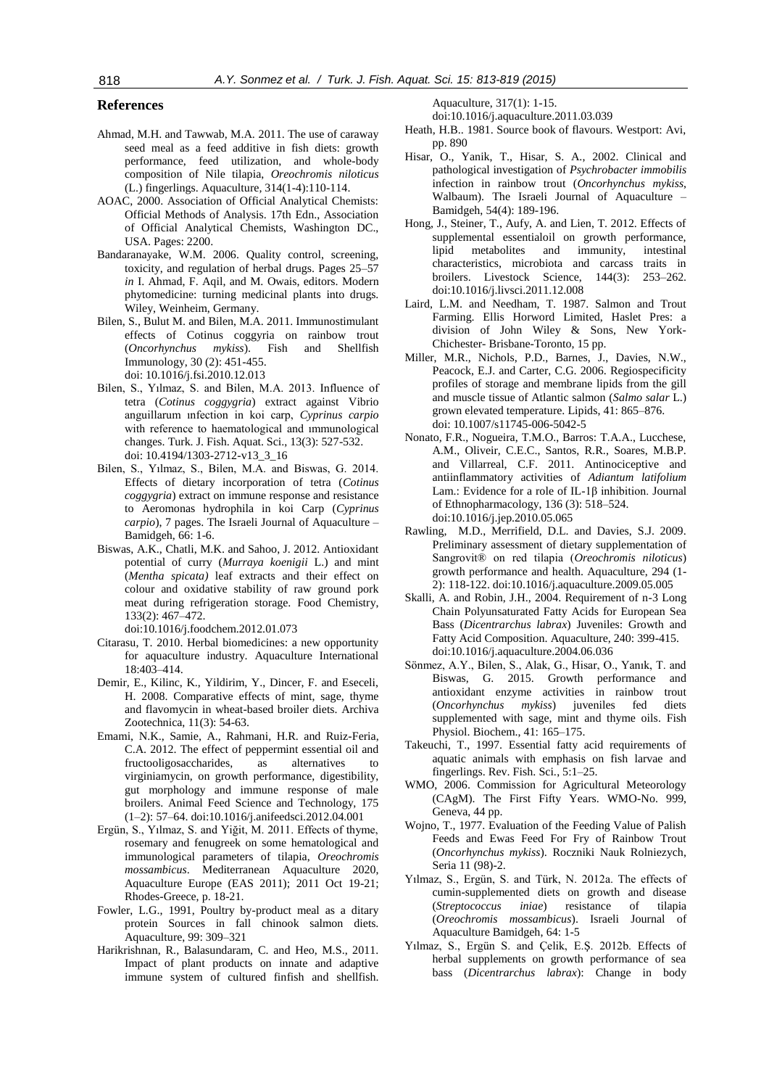## **References**

- Ahmad, M.H. and Tawwab, M.A. 2011. The use of caraway seed meal as a feed additive in fish diets: growth performance, feed utilization, and whole-body composition of Nile tilapia, *Oreochromis niloticus*  (L.) fingerlings. Aquaculture*,* 314(1-4):110-114.
- AOAC, 2000. Association of Official Analytical Chemists: Official Methods of Analysis. 17th Edn., Association of Official Analytical Chemists, Washington DC., USA. Pages: 2200.
- Bandaranayake, W.M. 2006. Quality control, screening, toxicity, and regulation of herbal drugs. Pages 25–57 *in* I. Ahmad, F. Aqil, and M. Owais, editors. Modern phytomedicine: turning medicinal plants into drugs. Wiley, Weinheim, Germany.
- Bilen, S., Bulut M. and Bilen, M.A. 2011. Immunostimulant effects of Cotinus coggyria on rainbow trout (*Oncorhynchus mykiss*). Fish and Shellfish Immunology, 30 (2): 451-455. doi: 10.1016/j.fsi.2010.12.013
- Bilen, S., Yılmaz, S. and Bilen, M.A. 2013. Influence of tetra (*Cotinus coggygria*) extract against Vibrio anguillarum ınfection in koi carp, *Cyprinus carpio* with reference to haematological and ımmunological changes. Turk. J. Fish. Aquat. Sci., 13(3): 527-532. doi: 10.4194/1303-2712-v13\_3\_16
- Bilen, S., Yılmaz, S., Bilen, M.A. and Biswas, G. 2014. Effects of dietary incorporation of tetra (*Cotinus coggygria*) extract on immune response and resistance to Aeromonas hydrophila in koi Carp (*Cyprinus carpio*), 7 pages. The Israeli Journal of Aquaculture – Bamidgeh, 66: 1-6.
- Biswas, A.K., Chatli, M.K. and Sahoo, J. 2012. Antioxidant potential of curry (*Murraya koenigii* L.) and mint (*Mentha spicata)* leaf extracts and their effect on colour and oxidative stability of raw ground pork meat during refrigeration storage. [Food Chemistry,](http://www.sciencedirect.com/science/journal/03088146) 133(2): 467–472.

doi:10.1016/j.foodchem.2012.01.073

- Citarasu, T. 2010. Herbal biomedicines: a new opportunity for aquaculture industry. Aquaculture International 18:403–414.
- Demir, E., Kilinc, K., Yildirim, Y., Dincer, F. and Eseceli, H. 2008. Comparative effects of mint, sage, thyme and flavomycin in wheat-based broiler diets. Archiva Zootechnica, 11(3): 54-63.
- Emami, N.K., Samie, A., Rahmani, H.R. and Ruiz-Feria, C.A. 2012. The effect of peppermint essential oil and fructooligosaccharides, as alternatives to virginiamycin, on growth performance, digestibility, gut morphology and immune response of male broilers. Animal Feed Science and Technology, 175 (1–2): 57–64. doi:10.1016/j.anifeedsci.2012.04.001
- Ergün, S., Yılmaz, S. and Yiğit, M. 2011. Effects of thyme, rosemary and fenugreek on some hematological and immunological parameters of tilapia, *Oreochromis mossambicus*. Mediterranean Aquaculture 2020, Aquaculture Europe (EAS 2011); 2011 Oct 19-21; Rhodes-Greece, p. 18-21.
- Fowler, L.G., 1991, Poultry by-product meal as a ditary protein Sources in fall chinook salmon diets. Aquaculture, 99: 309–321
- Harikrishnan, R., Balasundaram, C. and Heo, M.S., 2011. Impact of plant products on innate and adaptive immune system of cultured finfish and shellfish.

Aquaculture, 317(1): 1-15.

doi:10.1016/j.aquaculture.2011.03.039

- Heath, H.B.. 1981. Source book of flavours. Westport: Avi, pp. 890
- Hisar, O., Yanik, T., Hisar, S. A., 2002. Clinical and pathological investigation of *Psychrobacter immobilis* infection in rainbow trout (*Oncorhynchus mykiss*, Walbaum). The Israeli Journal of Aquaculture – Bamidgeh, 54(4): 189-196.
- Hong, J., Steiner, T., Aufy, A. and Lien, T. 2012. Effects of supplemental essentialoil on growth performance,<br>lipid metabolites and immunity, intestinal lipid metabolites and immunity, characteristics, microbiota and carcass traits in broilers. Livestock Science, 144(3): 253–262. doi:10.1016/j.livsci.2011.12.008
- Laird, L.M. and Needham, T. 1987. Salmon and Trout Farming. Ellis Horword Limited, Haslet Pres: a division of John Wiley & Sons, New York-Chichester- Brisbane-Toronto, 15 pp.
- Miller, M.R., Nichols, P.D., Barnes, J., Davies, N.W., Peacock, E.J. and Carter, C.G. 2006. Regiospecificity profiles of storage and membrane lipids from the gill and muscle tissue of Atlantic salmon (*Salmo salar* L.) grown elevated temperature. Lipids, 41: 865–876. doi: 10.1007/s11745-006-5042-5
- Nonato, F.R., Nogueira, T.M.O., Barros: T.A.A., Lucchese, A.M., Oliveir, C.E.C., Santos, R.R., Soares, M.B.P. and Villarreal, C.F. 2011. Antinociceptive and antiinflammatory activities of *Adiantum latifolium* Lam.: Evidence for a role of IL-1β inhibition. [Journal](http://www.sciencedirect.com/science/journal/03788741)  [of Ethnopharmacology,](http://www.sciencedirect.com/science/journal/03788741) 136 (3): 518–524. doi:10.1016/j.jep.2010.05.065
- Rawling, M.D., Merrifield, D.L. and Davies, S.J. 2009. Preliminary assessment of dietary supplementation of Sangrovit® on red tilapia (*Oreochromis niloticus*) growth performance and health. Aquaculture, 294 (1- 2): 118-122. doi:10.1016/j.aquaculture.2009.05.005
- Skalli, A. and Robin, J.H., 2004. Requirement of n-3 Long Chain Polyunsaturated Fatty Acids for European Sea Bass (*Dicentrarchus labrax*) Juveniles: Growth and Fatty Acid Composition. Aquaculture, 240: 399-415. doi:10.1016/j.aquaculture.2004.06.036
- Sönmez, A.Y., Bilen, S., Alak, G., Hisar, O., Yanık, T. and Biswas, G. 2015. Growth performance and antioxidant enzyme activities in rainbow trout (*Oncorhynchus mykiss*) juveniles fed diets supplemented with sage, mint and thyme oils. Fish Physiol. Biochem., 41: 165–175.
- Takeuchi, T., 1997. Essential fatty acid requirements of aquatic animals with emphasis on fish larvae and fingerlings. Rev. Fish. Sci., 5:1–25.
- WMO, 2006. Commission for Agricultural Meteorology (CAgM). The First Fifty Years. WMO-No. 999, Geneva, 44 pp.
- Wojno, T., 1977. Evaluation of the Feeding Value of Palish Feeds and Ewas Feed For Fry of Rainbow Trout (*Oncorhynchus mykiss*). Roczniki Nauk Rolniezych, Seria 11 (98)-2.
- Yılmaz, S., Ergün, S. and Türk, N. 2012a. The effects of cumin-supplemented diets on growth and disease (*Streptococcus iniae*) resistance of tilapia (*Oreochromis mossambicus*). Israeli Journal of Aquaculture Bamidgeh, 64: 1-5
- Yılmaz, S., Ergün S. and Çelik, E.Ş. 2012b. Effects of herbal supplements on growth performance of sea bass (*Dicentrarchus labrax*): Change in body